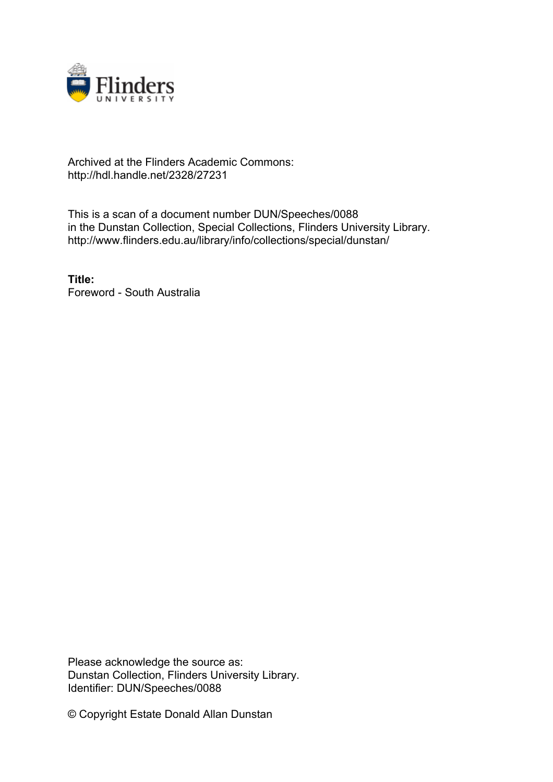

# Archived at the Flinders Academic Commons: http://hdl.handle.net/2328/27231

This is a scan of a document number DUN/Speeches/0088 in the Dunstan Collection, Special Collections, Flinders University Library. http://www.flinders.edu.au/library/info/collections/special/dunstan/

**Title:** Foreword - South Australia

Please acknowledge the source as: Dunstan Collection, Flinders University Library. Identifier: DUN/Speeches/0088

© Copyright Estate Donald Allan Dunstan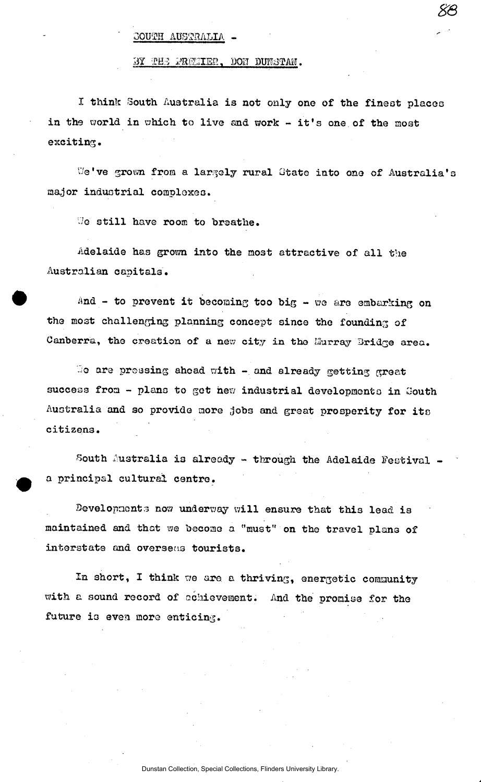## $-$  AUSTRALIA -

#### BY THE PRELIER, DON DUNSTAN.

I think South Australia is not only one of the finest places in the world in which to live and work - it's one of the most exciting.

We've grown from a largely rural State into one of Australia's major industrial complexes.

!7e still have room to breathe.

Adelaide has grom into the most attractive of all the Australian capitals.

And - to prevent it becoming too big - we are embarking on the most challenging planning concept since the founding of Canberra, the creation of a new city in the Hurray Bridge area.

We are pressing ahead with  $-$  and already getting great success from - plans to get hew industrial developments in Gouth Australia and so provide more jobs and great prosperity for its citizens.

South Australia is already - through the Adelaide Festival a principal cultural centre.

Bevelopnonts now underway will ensure that this lead is maintained and that we become a "must" on the travel plans of interstate and overseas tourists.

In short, I think we are a thriving, energetic community with a sound record of achievement. And the promise for the future is even more enticing.